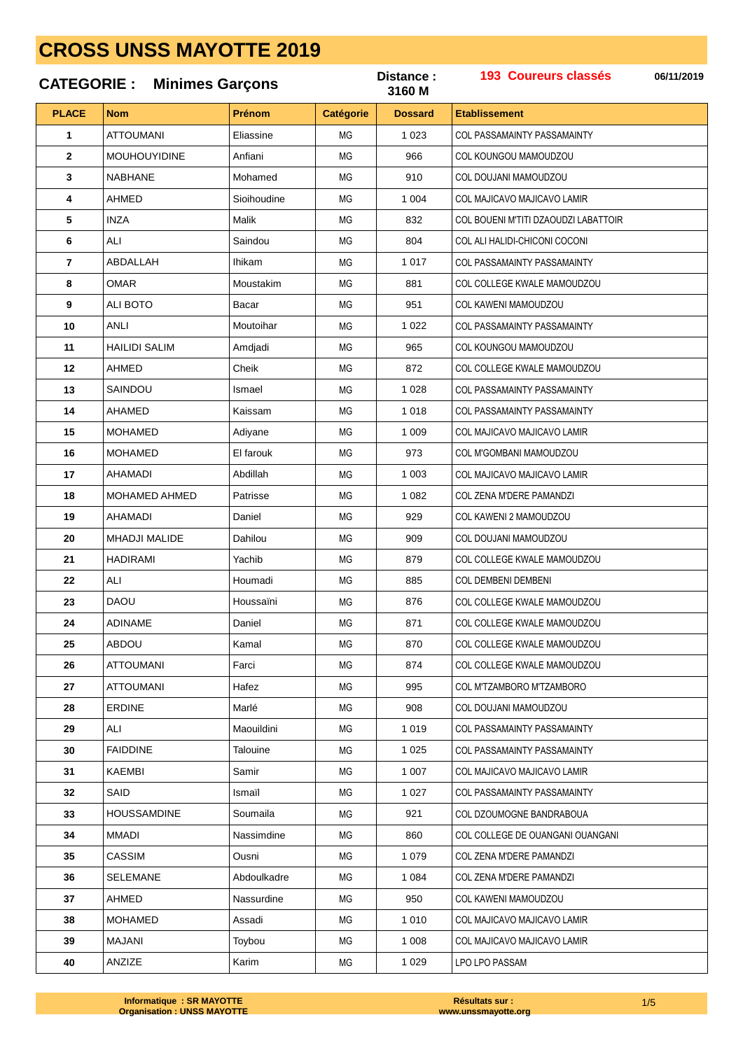### 193 Coureurs classés Distance: 06/11/2019 **CATEGORIE: Minimes Garçons** 3160 M **PLACE** Prénom **Etablissement Nom Catégorie Dossard** ATTOLIMANI Eliaccine  $1023$  $\overline{1}$ **MG** COL PASSAMAINTY PASSAMAINTY **MOUHOUYIDINE**  $\overline{2}$ Anfiani  $MC<sub>1</sub>$ 966 COL KOUNGOU MAMOUDZOU  $\overline{3}$ **NABHANE** Mohamed **MG** 910 COL DOUJANI MAMOUDZOU AHMED 1 0 0 4 4 Sinihoudine MG COL MAJICAVO MAJICAVO LAMIR 5 IN<sub>7</sub>A Malik **MG** 832 COL BOUENI M'TITI DZAOUDZI LABATTOIR 6 ALI Saindou **MG** 804 COL ALI HALIDI-CHICONI COCONI ABDALLAH Ihikam 1 0 1 7  $\overline{7}$ **MG** COL PASSAMAINTY PASSAMAINTY 8 **OMAR** Moustakim  $MG<sub>2</sub>$ COL COLLEGE KWALE MAMOUDZOU 881  $\mathbf{q}$ **ALI BOTO Bacar MG** 951 COL KAWENI MAMOUDZOU  $10$ **ANLI** Moutoihar **MG** 1 0 2 2 **COL PASSAMAINTY PASSAMAINTY**  $11$ **HAILIDI SALIM** Amdjadi **MG** 965 COL KOUNGOU MAMOUDZOU  $12$ **AHMED** Cheik **MG** 872 COL COLLEGE KWALE MAMOUDZOU  $13$ SAINDOU  $MC$ 1.028 **COL PASSAMAINTY PASSAMAINTY** Ismael  $14$ AHAMED Kaissam  $MG<sub>2</sub>$ 1.018 COL PASSAMAINTY PASSAMAINTY 15 **MOHAMED**  $MG$ 1.009 COL MAJICAVO MAJICAVO LAMIR Adiyane **MOHAMED** 16 El farouk **MG** 973 COL M'GOMBANI MAMOUDZOU  $17$ **AHAMADI**  $MC$  $1.003$ Ahdillah COL MAJICAVO MAJICAVO LAMIR Patrisse 18 MOHAMED AHMED **MG** 1 0 8 2 COL ZENA M'DERE PAMANDZI 19 **AHAMADI** Daniel **MG** 929 COL KAWENI 2 MAMOUDZOU **MHADJI MALIDE** Dahilou 20 **MG** 909 COL DOUJANI MAMOUDZOU  $2<sub>1</sub>$ **HADIRAMI** Yachib **MG** 879 COL COLLEGE KWALE MAMOUDZOU  $22$ ALI Houmadi MG 885 COL DEMBENI DEMBENI 23 **DAOU** Houssaïni **MG** 876 COL COLLEGE KWALE MAMOUDZOU **ADINAME** Daniel **MG** 871 COL COLLEGE KWALE MAMOUDZOU  $24$ 25 ABDOU Kamal **MG** 870 COL COLLEGE KWALE MAMOUDZOU **ATTOUMANI** Farci **MG** 874 COL COLLEGE KWALE MAMOUDZOU 26  $27$ **ATTOUMANI** Hafez **MG** 995 COL M'TZAMBORO M'TZAMBORO 28 ERDINE Marlé 908 COL DOUJANI MAMOUDZOU  $MC$ 29 AI I Maouildini  $MG$ 1.019 COL PASSAMAINTY PASSAMAINTY  $30$ **FAIDDINF**  $MG<sub>2</sub>$ 1 025 COL PASSAMAINTY PASSAMAINTY Talouine  $31$ **KAEMBI** Samir  $MC<sub>1</sub>$  $1.007$ COL MAJICAVO MAJICAVO LAMIR SAID 32 Ismaïl **MG** 1 0 2 7 COL PASSAMAINTY PASSAMAINTY  $33$ **HOUSSAMDINE** Soumaila  $MC<sub>1</sub>$ 921 COL DZOLIMOGNE BANDRAROLIA  $34$ **MMADI** Nassimdine  $MC$ 860 COL COLLEGE DE OLIANGANI OLIANGANI CASSIM 35 Ousni  $MC<sub>1</sub>$ 1.079 COL ZENA M'DERE PAMANDZI 36 **SELEMANE** Ahdoulkadre **MG**  $1.084$ COL ZENA M'DERE PAMANDZI 37 AHMED Nassurdine **MG** 950 COL KAWENI MAMOUDZOU 38 **MOHAMED** Assadi **MG** 1 0 1 0 COL MAJICAVO MAJICAVO LAMIR **MAJANI** 39 Toybou **MG** 1 0 0 8 COL MAJICAVO MAJICAVO LAMIR

Karim

**MG** 

1 0 2 9

40

ANZIZE

**LPO LPO PASSAM**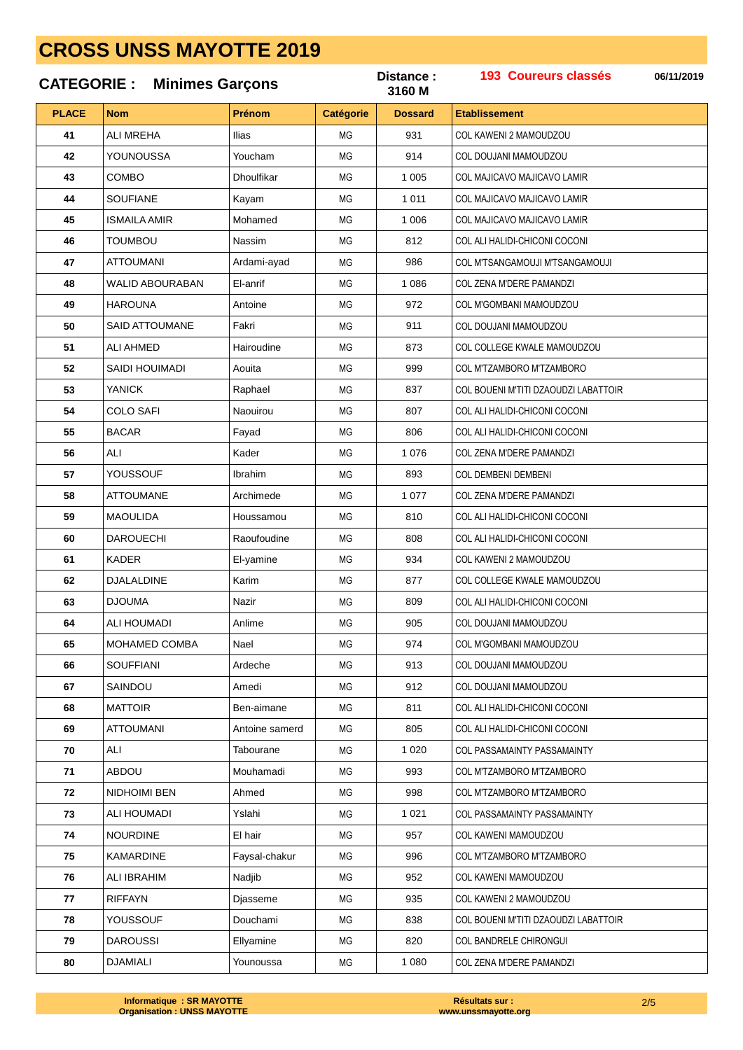|              | <b>CATEGORIE: Minimes Garçons</b> |                |                  | Distance:<br>3160 M | <b>193 Coureurs classés</b>          | 06/11/2019 |
|--------------|-----------------------------------|----------------|------------------|---------------------|--------------------------------------|------------|
| <b>PLACE</b> | <b>Nom</b>                        | Prénom         | <b>Catégorie</b> | <b>Dossard</b>      | <b>Etablissement</b>                 |            |
| 41           | <b>ALI MREHA</b>                  | Ilias          | ΜG               | 931                 | COL KAWENI 2 MAMOUDZOU               |            |
| 42           | YOUNOUSSA                         | Youcham        | ΜG               | 914                 | COL DOUJANI MAMOUDZOU                |            |
| 43           | COMBO                             | Dhoulfikar     | ΜG               | 1 0 0 5             | COL MAJICAVO MAJICAVO LAMIR          |            |
| 44           | <b>SOUFIANE</b>                   | Kayam          | ΜG               | 1 0 1 1             | COL MAJICAVO MAJICAVO LAMIR          |            |
| 45           | <b>ISMAILA AMIR</b>               | Mohamed        | MG               | 1 0 0 6             | COL MAJICAVO MAJICAVO LAMIR          |            |
| 46           | <b>TOUMBOU</b>                    | Nassim         | MG               | 812                 | COL ALI HALIDI-CHICONI COCONI        |            |
| 47           | ATTOUMANI                         | Ardami-ayad    | MG               | 986                 | COL M'TSANGAMOUJI M'TSANGAMOUJI      |            |
| 48           | WALID ABOURABAN                   | El-anrif       | <b>MG</b>        | 1 0 8 6             | <b>COL ZENA M'DERE PAMANDZI</b>      |            |
| 49           | <b>HAROUNA</b>                    | Antoine        | MG               | 972                 | COL M'GOMBANI MAMOUDZOU              |            |
| 50           | SAID ATTOUMANE                    | Fakri          | ΜG               | 911                 | COL DOUJANI MAMOUDZOU                |            |
| 51           | ALI AHMED                         | Hairoudine     | MG               | 873                 | COL COLLEGE KWALE MAMOUDZOU          |            |
| 52           | SAIDI HOUIMADI                    | Aouita         | ΜG               | 999                 | COL M'TZAMBORO M'TZAMBORO            |            |
| 53           | <b>YANICK</b>                     | Raphael        | ΜG               | 837                 | COL BOUENI M'TITI DZAOUDZI LABATTOIR |            |
| 54           | COLO SAFI                         | Naouirou       | <b>MG</b>        | 807                 | COL ALI HALIDI-CHICONI COCONI        |            |
| 55           | <b>BACAR</b>                      | Fayad          | ΜG               | 806                 | COL ALI HALIDI-CHICONI COCONI        |            |
| 56           | ALI                               | Kader          | ΜG               | 1 0 7 6             | <b>COL ZENA M'DERE PAMANDZI</b>      |            |
| 57           | YOUSSOUF                          | Ibrahim        | MG               | 893                 | <b>COL DEMBENI DEMBENI</b>           |            |
| 58           | <b>ATTOUMANE</b>                  | Archimede      | ΜG               | 1 0 7 7             | COL ZENA M'DERE PAMANDZI             |            |
| 59           | <b>MAOULIDA</b>                   | Houssamou      | ΜG               | 810                 | COL ALI HALIDI-CHICONI COCONI        |            |
| 60           | <b>DAROUECHI</b>                  | Raoufoudine    | MG               | 808                 | COL ALI HALIDI-CHICONI COCONI        |            |
| 61           | <b>KADER</b>                      | El-yamine      | ΜG               | 934                 | COL KAWENI 2 MAMOUDZOU               |            |
| 62           | <b>DJALALDINE</b>                 | Karim          | ΜG               | 877                 | COL COLLEGE KWALE MAMOUDZOU          |            |
| 63           | <b>DJOUMA</b>                     | Nazir          | ΜG               | 809                 | COL ALI HALIDI-CHICONI COCONI        |            |
| 64           | <b>ALI HOUMADI</b>                | Anlime         | MG               | 905                 | COL DOUJANI MAMOUDZOU                |            |
| 65           | MOHAMED COMBA                     | Nael           | МG               | 974                 | COL M'GOMBANI MAMOUDZOU              |            |
| 66           | <b>SOUFFIANI</b>                  | Ardeche        | МG               | 913                 | COL DOUJANI MAMOUDZOU                |            |
| 67           | SAINDOU                           | Amedi          | МG               | 912                 | COL DOUJANI MAMOUDZOU                |            |
| 68           | <b>MATTOIR</b>                    | Ben-aimane     | МG               | 811                 | COL ALI HALIDI-CHICONI COCONI        |            |
| 69           | <b>ATTOUMANI</b>                  | Antoine samerd | ΜG               | 805                 | COL ALI HALIDI-CHICONI COCONI        |            |
| 70           | ALI                               | Tabourane      | МG               | 1 0 2 0             | <b>COL PASSAMAINTY PASSAMAINTY</b>   |            |
| 71           | <b>ABDOU</b>                      | Mouhamadi      | МG               | 993                 | COL M'TZAMBORO M'TZAMBORO            |            |
| 72           | NIDHOIMI BEN                      | Ahmed          | МG               | 998                 | COL M'TZAMBORO M'TZAMBORO            |            |
| 73           | ALI HOUMADI                       | Yslahi         | ΜG               | 1 0 2 1             | <b>COL PASSAMAINTY PASSAMAINTY</b>   |            |
| 74           | <b>NOURDINE</b>                   | El hair        | МG               | 957                 | COL KAWENI MAMOUDZOU                 |            |
| 75           | KAMARDINE                         | Faysal-chakur  | ΜG               | 996                 | COL M'TZAMBORO M'TZAMBORO            |            |
| 76           | ALI IBRAHIM                       | Nadjib         | МG               | 952                 | COL KAWENI MAMOUDZOU                 |            |
| 77           | <b>RIFFAYN</b>                    | Djasseme       | МG               | 935                 | COL KAWENI 2 MAMOUDZOU               |            |
| 78           | YOUSSOUF                          | Douchami       | МG               | 838                 | COL BOUENI M'TITI DZAOUDZI LABATTOIR |            |
| 79           | <b>DAROUSSI</b>                   | Ellyamine      | МG               | 820                 | <b>COL BANDRELE CHIRONGUI</b>        |            |
| 80           | <b>DJAMIALI</b>                   | Younoussa      | МG               | 1 0 8 0             | COL ZENA M'DERE PAMANDZI             |            |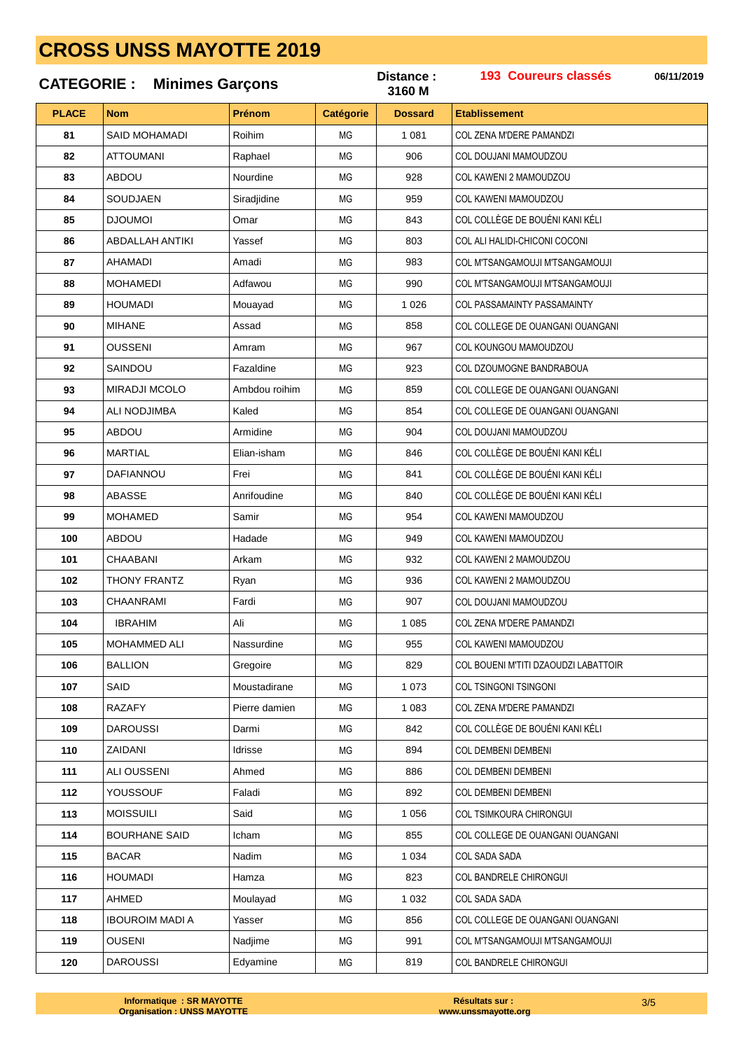### 193 Coureurs classés Distance: 06/11/2019 **CATEGORIE: Minimes Garçons** 3160 M **PLACE** Prénom **Etablissement Nom Catégorie Dossard** SAID MOHAMADI **Poihim**  $1.081$ 81 **MG** COL ZENA M'DERE PAMANDZI **ATTOUMANI** 82 Raphael **MG** 906 COL DOLLIANI MAMOUDZOU 83 **ABDOU** Nourdine **MG** 928 COL KAWENI 2 MAMOUDZOU SOLID JAEN 84 Siradjidine MG 959 COL KAWENI MAMOUDZOU 85 **D.IOUMOI** Omar **MG** 843 COL COLLÈGE DE BOUÉNI KANI KÉLI **ABDALLAH ANTIKI MG** 803 COL ALI HALIDI-CHICONI COCONI 86 Yasset **AHAMADI** Amadi 983 87 MG COL M'TSANGAMOUJI M'TSANGAMOUJI **MOHAMEDI**  $MG<sub>2</sub>$ 88 Adfawou 990 COL M'TSANGAMOUJI M'TSANGAMOUJI 89 **HOUMADI** Mouayad **MG** 1 0 2 6 COL PASSAMAINTY PASSAMAINTY 90 **MIHANE** Assad **MG** 858 COL COLLEGE DE OUANGANI OUANGANI  $Q<sub>1</sub>$ **OUSSENI** Amram **MG** 967 COL KOUNGOU MAMOUDZOU 92 SAINDOU **Fazaldine MG** 923 COL DZOUMOGNE BANDRABOUA MIRADJI MCOLO Ambdou roihim  $MC$ 859 93 COL COLLEGE DE OUANGANI OUANGANI 94 ALL NODJIMBA Kaled  $MG<sub>2</sub>$ 854 COL COLLEGE DE OUANGANI OUANGANI ABDOU Armidine COL DOUJANI MAMOUDZOU 95  $MG$ 904 **MARTIAL** Elian-isham COL COLLÈGE DE BOUÉNI KANI KÉLI 96 **MG** 846 COL COLLÈGE DE BOLIÉNI KANLKÉLI **DAFIANNOL**  $Fr<sub>PI</sub>$  $MC$ 97 841 98 ARASSE Anrifoudine **MG** 840 COL COLLÈGE DE BOUÉNI KANLKÉLI 99 **MOHAMED** Samir **MG** 954 COL KAWENI MAMOUDZOU ARDOL 100 Hadade **MG** 949 COL KAWENI MAMOUDZOU 101 CHAABANI Arkam **MG** 932 COL KAWENI 2 MAMOUDZOU 102 **THONY FRANTZ** MG 936 COL KAWENI 2 MAMOUDZOU Ryan CHAANRAMI 103 Fardi **MG** 907 COL DOUJANI MAMOUDZOU 104 **IBRAHIM** Ali **MG** COL ZENA M'DERE PAMANDZI 1 0 8 5 105 MOHAMMED ALI Nassurdine **MG** 955 COL KAWENI MAMOUDZOU 106 **BALLION MG** 829 COL BOUENI M'TITI DZAOUDZI LABATTOIR Gregoire 107 SAID Moustadirane **MG** 1 0 7 3 **COL TSINGONI TSINGONI** 108 **RAZAFY** Pierre damien 1 083 COL ZENA M'DERE PAMANDZI  $MC$ 109 **DAROUSSI** Darmi  $MG$ 842 COL COLLÈGE DE BOUÉNI KANI KÉLI 110 **ZAIDANI**  $MG<sub>2</sub>$ 894 COL DEMBENI DEMBENI Idrisse  $111$ **ALI OUSSENI** Ahmed  $MG<sub>2</sub>$ 886 **COL DEMBENI DEMBENI** YOUSSOUF Faladi 112 **MG** 892 COL DEMBENI DEMBENI **MOISSUILL** Said  $1.056$  $113$  $MC$ COL TSIMKOURA CHIRONGUL 114 **BOURHANE SAID** Icham  $MC$ 855 COL COLLEGE DE OLIANGANI OLIANGANI 115 **BACAR** Nadim **MG** 1 0 3 4 COL SADA SADA 116 **HOLIMADI** Hamza **MG** 823 COL BANDRELE CHIRONGUI 117 AHMED Moulayad **MG** 1 0 3 2 COL SADA SADA 118 **IBOUROIM MADI A** Yasser **MG** 856 COL COLLEGE DE OUANGANI OUANGANI **OUSENI** 119 Nadjime **MG** 991 COL M'TSANGAMOUJI M'TSANGAMOUJI 120 **DAROUSSI** Edyamine **MG** 819 **COL BANDRELE CHIRONGUI**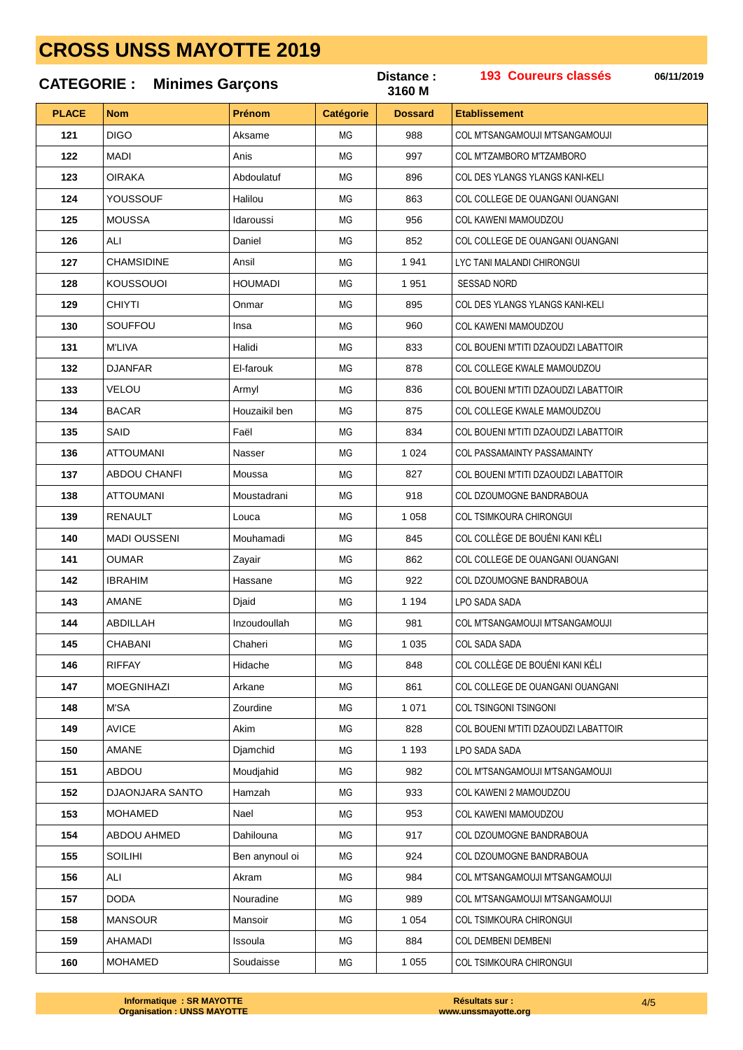### 193 Coureurs classés Distance: 06/11/2019 **CATEGORIE: Minimes Garcons** 3160 M **PLACE** Prénom **Etablissement Nom Catégorie Dossard** DIGO Akeamo  $088$ 121 **MG** COL M'TSANGAMOUJI M'TSANGAMOUJI **MADI** 122 Anis  $MC<sub>1</sub>$ 997 COL M'TZAMBORO M'TZAMBORO 123 **OIRAKA** Abdoulatuf **MG** 896 COL DES YLANGS YLANGS KANI-KELI YOUSSOUF 124 Halilou MG 863 COL COLLEGE DE OUANGANI OUANGANI 125 **MOUSSA** Idaroussi **MG** 956 COL KAWENI MAMOUDZOU 126 ALI Daniel **MG** 852 COL COLLEGE DE OUANGANI OUANGANI **CHAMSIDINE** Ansil 1941 127 MG LYC TANI MALANDI CHIRONGUI **KOUSSOUOI HOUMADI**  $MG<sub>2</sub>$ 128 1 951 SESSAD NORD 129 **CHIYTI** Onmar **MG** 895 COL DES YLANGS YLANGS KANI-KELI 130 SOUFFOU Insa **MG** 960 COL KAWENI MAMOUDZOU 131 **M'LIVA** Halidi **MG** 833 COL BOUENI M'TITI DZAOUDZI LABATTOIR 132 **DJANFAR FI-farouk MG** 878 COL COLLEGE KWALE MAMOUDZOU 133 VELOU  $MC$ Armyl 836 COL BOUENI M'TITI DZAOUDZI LABATTOIR 134 **BACAR** Houzaikil ben  $MG<sub>2</sub>$ 875 COL COLLEGE KWALE MAMOUDZOU Faël 135 SAID  $MG$ 834 COL BOUENI M'TITI DZAOUDZI LABATTOIR **ATTOUMANI** 136 Nasser **MG** 1 0 2 4 COL PASSAMAINTY PASSAMAINTY 137 ARDOLL CHANEL  $MC$ Moussa 827 COL BOUENLM'TITI DZAOUDZU ARATTOIR 138 **ATTOUMANI** Moustadrani **MG** 918 COL DZOUMOGNE BANDRABOUA 139 **RENAULT** Louca **MG** 1 0 5 8 COL TSIMKOURA CHIRONGUI **MADI OUSSENI** 140 Mouhamadi **MG** 845 COL COLLÈGE DE BOUÉNI KANI KÉLI 141 **OUMAR** Zayair **MG** 862 COL COLLEGE DE OUANGANI OUANGANI 142 **IBRAHIM** Hassane MG 922 COL DZOUMOGNE BANDRABOUA 143 AMANE Diaid MG 1 1 9 4 LPO SADA SADA 144 **ABDILLAH** Inzoudoullah **MG** COL M'TSANGAMOUJI M'TSANGAMOUJI 981 145 CHABANI Chaheri **MG** 1 0 3 5 COL SADA SADA 146 **RIFFAY** Hidache **MG** 848 COL COLLÈGE DE BOUÉNI KANI KÉLI  $147$ **MOEGNIHAZI** Arkane **MG** 861 COL COLLEGE DE OUANGANI OUANGANI 148  $M'SA$ Zourdine 1 0 7 1 COL TSINGONI TSINGONI  $MC$ 149 **AVICE**  $MG$ 828 COL BOUENI M'TITI DZAOUDZI LABATTOIR Akim 150 AMANF  $MG<sub>2</sub>$ 1 1 9 3 **I PO SADA SADA** Diamchid 151 ABDOU  $MG<sub>2</sub>$ 982 COL M'TSANGAMOLLII M'TSANGAMOLLII Moudiahid 152 DJAONJARA SANTO Hamzah **MG** 933 COL KAWENI 2 MAMOUDZOU 153 **MOHAMED Nael**  $MC$  $953$ COL KAWENI MAMOUDZOU 154 ARDOU AHMED Dahilouna  $MC$ 917 COL DZOUMOGNE BANDRABOUA 155 SOIL IHI Ben anynoul oi  $MG<sub>2</sub>$ 924 COL DZOUMOGNE BANDRABOUA 156 AI I Akram **MG** 984 COL M'TSANGAMOUJI M'TSANGAMOUJI 157 DODA Nouradine **MG** 989 COL M'TSANGAMOUJI M'TSANGAMOUJI 158 **MANSOUR** Mansoir **MG** 1 0 5 4 **COL TSIMKOURA CHIRONGUI** 159 **AHAMADI** Issoula **MG** 884 COL DEMBENI DEMBENI 160 **MOHAMED** Soudaisse **MG** 1 0 5 5 **COL TSIMKOURA CHIRONGUI**